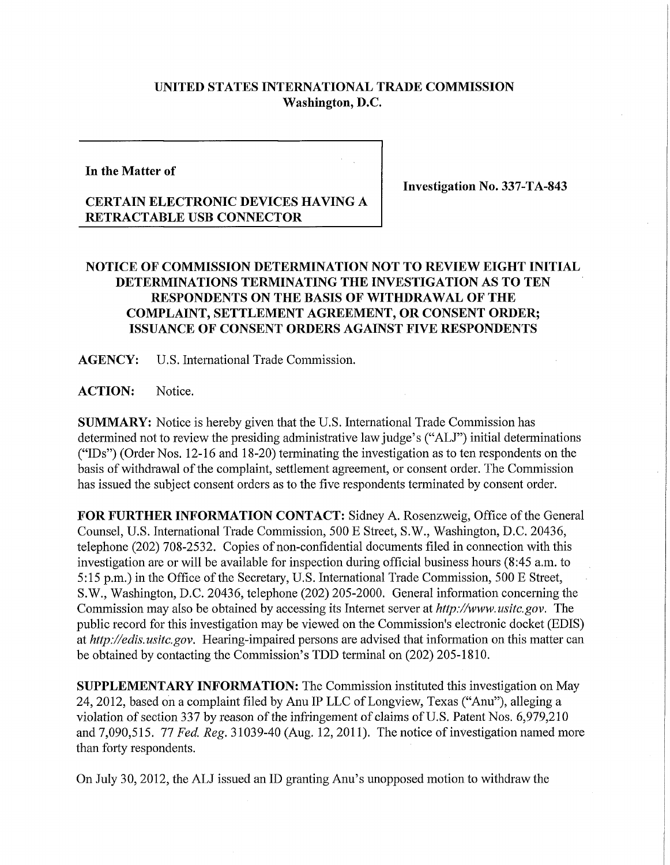## **UNITED STATES INTERNATIONAL TRADE COMMISSION Washington, D.C.**

**In the Matter of** 

**Investigation No. 337-TA-843** 

## **CERTAIN ELECTRONIC DEVICES HAVING A RETRACTABLE USB CONNECTOR**

## **NOTICE OF COMMISSION DETERMINATION NOT TO REVIEW EIGHT INITIAL DETERMINATIONS TERMINATING THE INVESTIGATION AS TO TEN RESPONDENTS ON THE BASIS OF WITHDRAWAL OF THE COMPLAINT, SETTLEMENT AGREEMENT, OR CONSENT ORDER; ISSUANCE OF CONSENT ORDERS AGAINST FIVE RESPONDENTS**

**AGENCY:** U.S. International Trade Commission.

**ACTION:** Notice.

**SUMMARY:** Notice is hereby given that the U.S. International Trade Commission has determined not to review the presiding administrative law judge's ("ALJ") initial determinations ("IDs") (Order Nos. 12-16 and 18-20) terminating the investigation as to ten respondents on the basis of withdrawal of the complaint, settlement agreement, or consent order. The Commission has issued the subject consent orders as to the five respondents terminated by consent order.

FOR FURTHER INFORMATION CONTACT: Sidney A. Rosenzweig, Office of the General Counsel, U.S. International Trade Commission, 500 E Street, S.W., Washington, D.C. 20436, telephone (202) 708-2532. Copies of non-confidential documents filed in connection with this investigation are or will be available for inspection during official business hours (8:45 a.m. to 5:15 p.m.) in the Office of the Secretary, U.S. International Trade Commission, 500 E Street, S.W., Washington, D.C. 20436, telephone (202) 205-2000. General information concerning the Commission may also be obtained by accessing its Internet server at *http://www.usitc.gov.* The public record for this investigation may be viewed on the Commission's electronic docket (EDIS) at *http://edis.usitc.gov.* Hearing-impaired persons are advised that information on this matter can be obtained by contacting the Commission's TDD terminal on (202) 205-1810.

**SUPPLEMENTARY INFORMATION:** The Commission instituted this investigation on May 24,2012, based on a complaint filed by Anu IP LLC of Longview, Texas ("Anu"), alleging a violation of section 337 by reason of the infringement of claims of U.S. Patent Nos. 6,979,210 and 7,090,515. 77 *Fed. Reg.* 31039-40 (Aug. 12, 2011). The notice of investigation named more than forty respondents.

On July 30,2012, the ALJ issued an ID granting Anu's unopposed motion to withdraw the